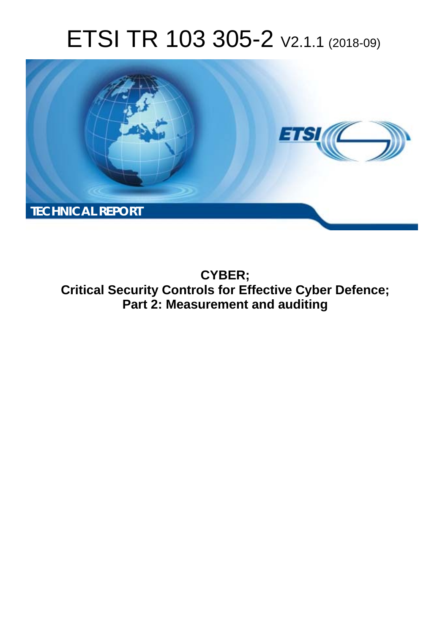# ETSI TR 103 305-2 V2.1.1 (2018-09)



**CYBER; Critical Security Controls for Effective Cyber Defence; Part 2: Measurement and auditing**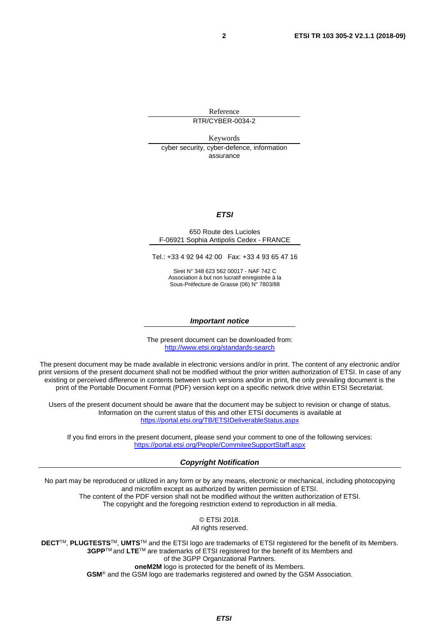Reference RTR/CYBER-0034-2

Keywords cyber security, cyber-defence, information assurance

#### *ETSI*

#### 650 Route des Lucioles F-06921 Sophia Antipolis Cedex - FRANCE

Tel.: +33 4 92 94 42 00 Fax: +33 4 93 65 47 16

Siret N° 348 623 562 00017 - NAF 742 C Association à but non lucratif enregistrée à la Sous-Préfecture de Grasse (06) N° 7803/88

#### *Important notice*

The present document can be downloaded from: <http://www.etsi.org/standards-search>

The present document may be made available in electronic versions and/or in print. The content of any electronic and/or print versions of the present document shall not be modified without the prior written authorization of ETSI. In case of any existing or perceived difference in contents between such versions and/or in print, the only prevailing document is the print of the Portable Document Format (PDF) version kept on a specific network drive within ETSI Secretariat.

Users of the present document should be aware that the document may be subject to revision or change of status. Information on the current status of this and other ETSI documents is available at <https://portal.etsi.org/TB/ETSIDeliverableStatus.aspx>

If you find errors in the present document, please send your comment to one of the following services: <https://portal.etsi.org/People/CommiteeSupportStaff.aspx>

#### *Copyright Notification*

No part may be reproduced or utilized in any form or by any means, electronic or mechanical, including photocopying and microfilm except as authorized by written permission of ETSI. The content of the PDF version shall not be modified without the written authorization of ETSI. The copyright and the foregoing restriction extend to reproduction in all media.

> © ETSI 2018. All rights reserved.

**DECT**TM, **PLUGTESTS**TM, **UMTS**TM and the ETSI logo are trademarks of ETSI registered for the benefit of its Members. **3GPP**TM and **LTE**TM are trademarks of ETSI registered for the benefit of its Members and of the 3GPP Organizational Partners. **oneM2M** logo is protected for the benefit of its Members.

**GSM**® and the GSM logo are trademarks registered and owned by the GSM Association.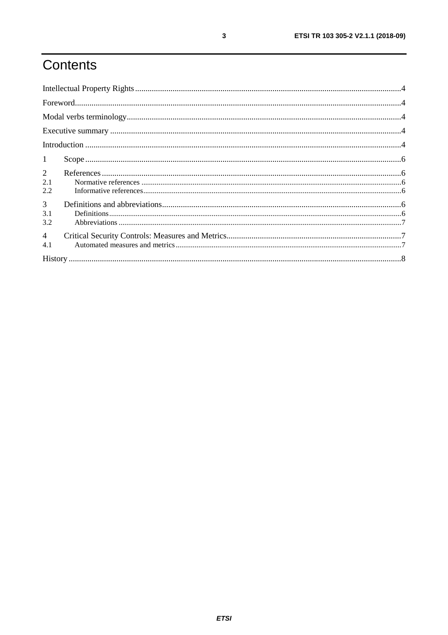## Contents

| $\mathbf{1}$          |  |
|-----------------------|--|
| $\overline{2}$<br>2.1 |  |
| 2.2<br>3              |  |
| 3.1<br>3.2            |  |
| $\overline{4}$<br>4.1 |  |
|                       |  |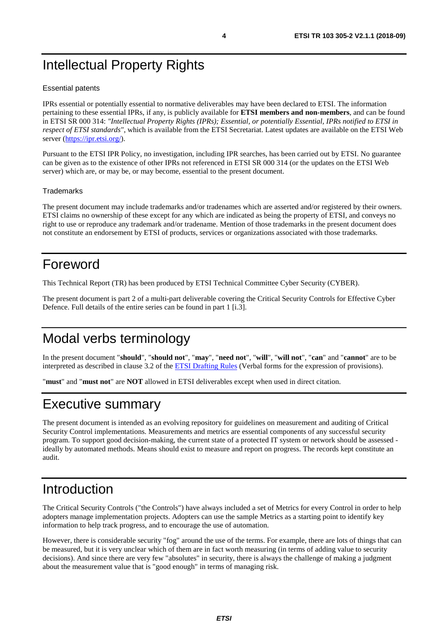### <span id="page-3-0"></span>Intellectual Property Rights

#### Essential patents

IPRs essential or potentially essential to normative deliverables may have been declared to ETSI. The information pertaining to these essential IPRs, if any, is publicly available for **ETSI members and non-members**, and can be found in ETSI SR 000 314: *"Intellectual Property Rights (IPRs); Essential, or potentially Essential, IPRs notified to ETSI in respect of ETSI standards"*, which is available from the ETSI Secretariat. Latest updates are available on the ETSI Web server [\(https://ipr.etsi.org/](https://ipr.etsi.org/)).

Pursuant to the ETSI IPR Policy, no investigation, including IPR searches, has been carried out by ETSI. No guarantee can be given as to the existence of other IPRs not referenced in ETSI SR 000 314 (or the updates on the ETSI Web server) which are, or may be, or may become, essential to the present document.

#### **Trademarks**

The present document may include trademarks and/or tradenames which are asserted and/or registered by their owners. ETSI claims no ownership of these except for any which are indicated as being the property of ETSI, and conveys no right to use or reproduce any trademark and/or tradename. Mention of those trademarks in the present document does not constitute an endorsement by ETSI of products, services or organizations associated with those trademarks.

### Foreword

This Technical Report (TR) has been produced by ETSI Technical Committee Cyber Security (CYBER).

The present document is part 2 of a multi-part deliverable covering the Critical Security Controls for Effective Cyber Defence. Full details of the entire series can be found in part 1 [\[i.3](#page-5-0)].

### Modal verbs terminology

In the present document "**should**", "**should not**", "**may**", "**need not**", "**will**", "**will not**", "**can**" and "**cannot**" are to be interpreted as described in clause 3.2 of the [ETSI Drafting Rules](https://portal.etsi.org/Services/editHelp!/Howtostart/ETSIDraftingRules.aspx) (Verbal forms for the expression of provisions).

"**must**" and "**must not**" are **NOT** allowed in ETSI deliverables except when used in direct citation.

### Executive summary

The present document is intended as an evolving repository for guidelines on measurement and auditing of Critical Security Control implementations. Measurements and metrics are essential components of any successful security program. To support good decision-making, the current state of a protected IT system or network should be assessed ideally by automated methods. Means should exist to measure and report on progress. The records kept constitute an audit.

### Introduction

The Critical Security Controls ("the Controls") have always included a set of Metrics for every Control in order to help adopters manage implementation projects. Adopters can use the sample Metrics as a starting point to identify key information to help track progress, and to encourage the use of automation.

However, there is considerable security "fog" around the use of the terms. For example, there are lots of things that can be measured, but it is very unclear which of them are in fact worth measuring (in terms of adding value to security decisions). And since there are very few "absolutes" in security, there is always the challenge of making a judgment about the measurement value that is "good enough" in terms of managing risk.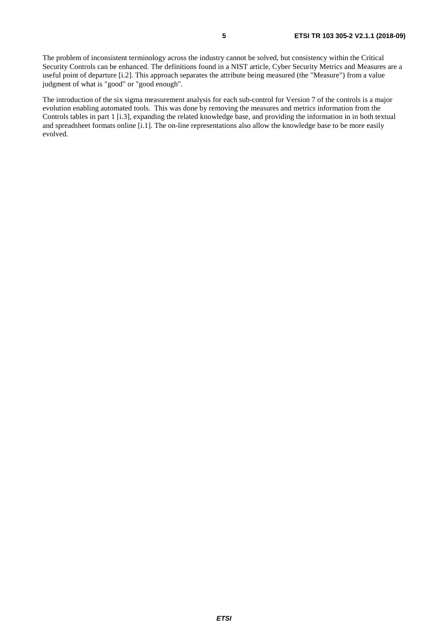The problem of inconsistent terminology across the industry cannot be solved, but consistency within the Critical Security Controls can be enhanced. The definitions found in a NIST article, Cyber Security Metrics and Measures are a useful point of departure [[i.2](#page-5-0)]. This approach separates the attribute being measured (the "Measure") from a value judgment of what is "good" or "good enough".

The introduction of the six sigma measurement analysis for each sub-control for Version 7 of the controls is a major evolution enabling automated tools. This was done by removing the measures and metrics information from the Controls tables in part 1 [\[i.3](#page-5-0)], expanding the related knowledge base, and providing the information in in both textual and spreadsheet formats online [\[i.1](#page-5-0)]. The on-line representations also allow the knowledge base to be more easily evolved.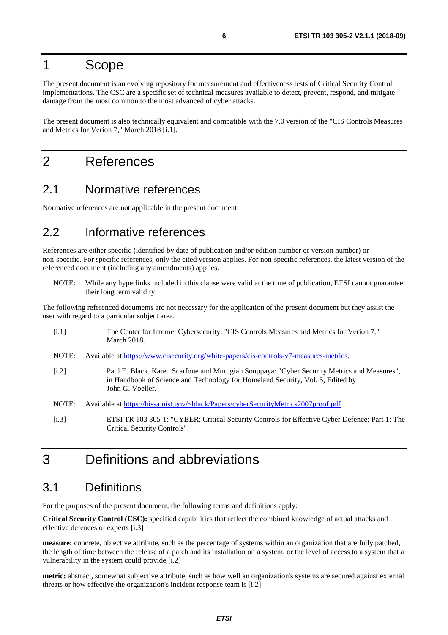#### <span id="page-5-0"></span>1 Scope

The present document is an evolving repository for measurement and effectiveness tests of Critical Security Control implementations. The CSC are a specific set of technical measures available to detect, prevent, respond, and mitigate damage from the most common to the most advanced of cyber attacks.

The present document is also technically equivalent and compatible with the 7.0 version of the "CIS Controls Measures and Metrics for Verion 7," March 2018 [i.1].

#### 2 References

#### 2.1 Normative references

Normative references are not applicable in the present document.

#### 2.2 Informative references

References are either specific (identified by date of publication and/or edition number or version number) or non-specific. For specific references, only the cited version applies. For non-specific references, the latest version of the referenced document (including any amendments) applies.

NOTE: While any hyperlinks included in this clause were valid at the time of publication, ETSI cannot guarantee their long term validity.

The following referenced documents are not necessary for the application of the present document but they assist the user with regard to a particular subject area.

| [i.1] | The Center for Internet Cybersecurity: "CIS Controls Measures and Metrics for Verion 7,"<br><b>March 2018.</b>                                                                                    |
|-------|---------------------------------------------------------------------------------------------------------------------------------------------------------------------------------------------------|
| NOTE: | Available at https://www.cisecurity.org/white-papers/cis-controls-v7-measures-metrics.                                                                                                            |
| [i.2] | Paul E. Black, Karen Scarfone and Murugiah Souppaya: "Cyber Security Metrics and Measures",<br>in Handbook of Science and Technology for Homeland Security, Vol. 5, Edited by<br>John G. Voeller. |
| NOTE: | Available at https://hissa.nist.gov/~black/Papers/cyberSecurityMetrics2007proof.pdf.                                                                                                              |
| [i.3] | ETSI TR 103 305-1: "CYBER; Critical Security Controls for Effective Cyber Defence; Part 1: The<br>Critical Security Controls".                                                                    |

### 3 Definitions and abbreviations

#### 3.1 Definitions

For the purposes of the present document, the following terms and definitions apply:

**Critical Security Control (CSC):** specified capabilities that reflect the combined knowledge of actual attacks and effective defences of experts [i.3]

**measure:** concrete, objective attribute, such as the percentage of systems within an organization that are fully patched, the length of time between the release of a patch and its installation on a system, or the level of access to a system that a vulnerability in the system could provide [i.2]

**metric:** abstract, somewhat subjective attribute, such as how well an organization's systems are secured against external threats or how effective the organization's incident response team is [i.2]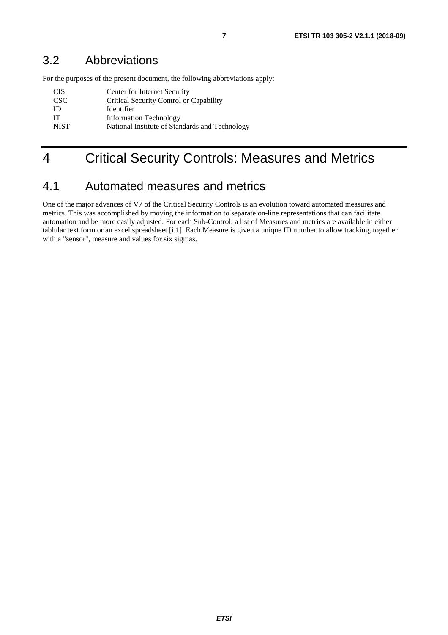<span id="page-6-0"></span>For the purposes of the present document, the following abbreviations apply:

| -CIS             | Center for Internet Security                   |
|------------------|------------------------------------------------|
| CSC <sup>.</sup> | Critical Security Control or Capability        |
| <b>ID</b>        | Identifier                                     |
| <b>IT</b>        | <b>Information Technology</b>                  |
| <b>NIST</b>      | National Institute of Standards and Technology |
|                  |                                                |

### 4 Critical Security Controls: Measures and Metrics

#### 4.1 Automated measures and metrics

One of the major advances of V7 of the Critical Security Controls is an evolution toward automated measures and metrics. This was accomplished by moving the information to separate on-line representations that can facilitate automation and be more easily adjusted. For each Sub-Control, a list of Measures and metrics are available in either tablular text form or an excel spreadsheet [\[i.1](#page-5-0)]. Each Measure is given a unique ID number to allow tracking, together with a "sensor", measure and values for six sigmas.